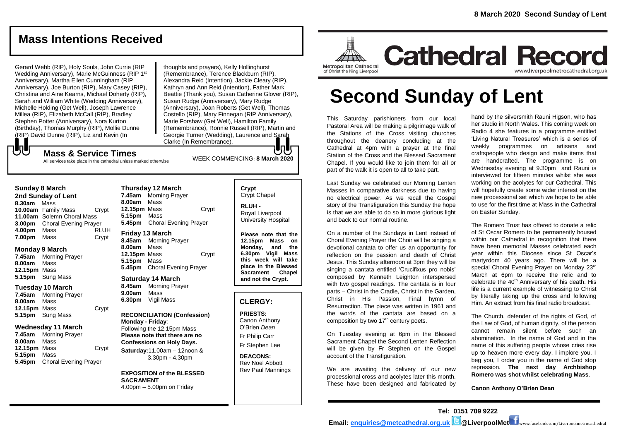# **Mass Intentions Received**

Gerard Webb (RIP), Holy Souls, John Currie (RIP Wedding Anniversary), Marie McGuinness (RIP 1st Anniversary), Martha Ellen Cunningham (RIP Anniversary), Joe Burton (RIP), Mary Casey (RIP), Christina and Aine Kearns, Michael Doherty (RIP), Sarah and William White (Wedding Anniversary), Michelle Holding (Get Well), Joseph Lawrence Millea (RIP), Elizabeth McCall (RIP), Bradley Stephen Potter (Anniversary), Nora Kurton (Birthday), Thomas Murphy (RIP), Mollie Dunne (RIP) David Dunne (RIP), Liz and Kevin (In

WEEK COMMENCING: **<sup>8</sup> March <sup>2020</sup> Mass & Service Times** thoughts and prayers), Kelly Hollinghurst (Remembrance), Terence Blackburn (RIP), Alexandra Reid (Intention), Jackie Cleary (RIP), Kathryn and Ann Reid (Intention), Father Mark Beattie (Thank you), Susan Catherine Glover (RIP), Susan Rudge (Anniversary), Mary Rudge (Anniversary), Joan Roberts (Get Well), Thomas Costello (RIP), Mary Finnegan (RIP Anniversary), Marie Forshaw (Get Well), Hamilton Family (Remembrance), Ronnie Russell (RIP), Martin and Georgie Turner (Wedding), Laurence and Sarah Clarke (In Remembrance).

All services take place in the cathedral unless marked otherwise

#### **Sunday 8 March**

もし

**2nd Sunday of Lent 8.30am** Mass **10.00am** Family Mass Crypt **11.00am** Solemn Choral Mass **3.00pm** Choral Evening Prayer **4.00pm** Mass RLUH **7.00pm** Mass Crypt

#### **Monday 9 March**

**7.45am** Morning Prayer **8.00am** Mass **12.15pm** Mass **5.15pm** Sung Mass

#### **Tuesday 10 March**

**7.45am** Morning Prayer **8.00am** Mass **12.15pm** Mass Crypt **5.15pm** Sung Mass

#### **Wednesday 11 March**

**7.45am** Morning Prayer **8.00am** Mass **12.15pm** Mass Crypt **5.15pm** Mass **5.45pm** Choral Evening Prayer

### **Thursday 12 March**

**7.45am** Morning Prayer **8.00am** Mass **12.15pm** Mass Crypt **5.15pm** Mass **5.45pm** Choral Evening Prayer

#### **Friday 13 March**

**8.45am** Morning Prayer **8.00am** Mass **12.15pm** Mass Crypt **5.15pm** Mass **5.45pm** Choral Evening Prayer

#### **Saturday 14 March**

**8.45am** Morning Prayer **9.00am** Mass **6.30pm** Vigil Mass

#### **RECONCILIATION (Confession) Monday - Friday**: Following the 12.15pm Mass **Please note that there are no Confessions on Holy Days.**

**Saturday:**11.00am – 12noon & 3.30pm - 4.30pm

**EXPOSITION of the BLESSED SACRAMENT** 4.00pm – 5.00pm on Friday

#### **Crypt**  Crypt Chapel

**RLUH -** Royal Liverpool University Hospital

**Please note that the 12.15pm Mass on Monday, and the 6.30pm Vigil Mass this week will take place in the Blessed Sacrament Chapel and not the Crypt.**

#### **CLERGY:**

**PRIESTS:** Canon Anthony O'Brien *Dean* Fr Philip Carr

Fr Stephen Lee

**DEACONS:** Rev Noel Abbott Rev Paul Mannings



**Cathedral Record** www.liverpoolmetrocathedral.org.uk

# **Second Sunday of Lent**

This Saturday parishioners from our local Pastoral Area will be making a pilgrimage walk of the Stations of the Cross visiting churches throughout the deanery concluding at the Cathedral at 4pm with a prayer at the final Station of the Cross and the Blessed Sacrament Chapel. If you would like to join them for all or part of the walk it is open to all to take part.

Last Sunday we celebrated our Morning Lenten Masses in comparative darkness due to having no electrical power. As we recall the Gospel story of the Transfiguration this Sunday the hope is that we are able to do so in more glorious light and back to our normal routine.

On a number of the Sundays in Lent instead of Choral Evening Prayer the Choir will be singing a devotional cantata to offer us an opportunity for reflection on the passion and death of Christ Jesus. This Sunday afternoon at 3pm they will be singing a cantata entitled 'Crucifixus pro nobis' composed by Kenneth Leighton interspersed with two gospel readings. The cantata is in four parts – Christ in the Cradle, Christ in the Garden, Christ in His Passion, Final hymn of Resurrection. The piece was written in 1961 and the words of the cantata are based on a composition by two 17<sup>th</sup> century poets.

On Tuesday evening at 6pm in the Blessed Sacrament Chapel the Second Lenten Reflection will be given by Fr Stephen on the Gospel account of the Transfiguration.

We are awaiting the delivery of our new processional cross and acolytes later this month. These have been designed and fabricated by

hand by the silversmith Rauni Higson, who has her studio in North Wales. This coming week on Radio 4 she features in a programme entitled 'Living Natural Treasures' which is a series of weekly programmes on artisans and craftspeople who design and make items that are handcrafted. The programme is on Wednesday evening at 9.30pm and Rauni is interviewed for fifteen minutes whilst she was working on the acolytes for our Cathedral. This will hopefully create some wider interest on the new processional set which we hope to be able to use for the first time at Mass in the Cathedral on Easter Sunday.

The Romero Trust has offered to donate a relic of St Oscar Romero to be permanently housed within our Cathedral in recognition that there have been memorial Masses celebrated each year within this Diocese since St Oscar's martyrdom 40 years ago. There will be a special Choral Evening Prayer on Monday 23rd March at 6pm to receive the relic and to celebrate the  $40<sup>th</sup>$  Anniversary of his death. His life is a current example of witnessing to Christ by literally taking up the cross and following Him. An extract from his final radio broadcast.

The Church, defender of the rights of God, of the Law of God, of human dignity, of the person cannot remain silent before such an abomination. In the name of God and in the name of this suffering people whose cries rise up to heaven more every day, I implore you, I beg you, I order you in the name of God stop repression. **The next day Archbishop Romero was shot whilst celebrating Mass**.

**Canon Anthony O'Brien Dean**